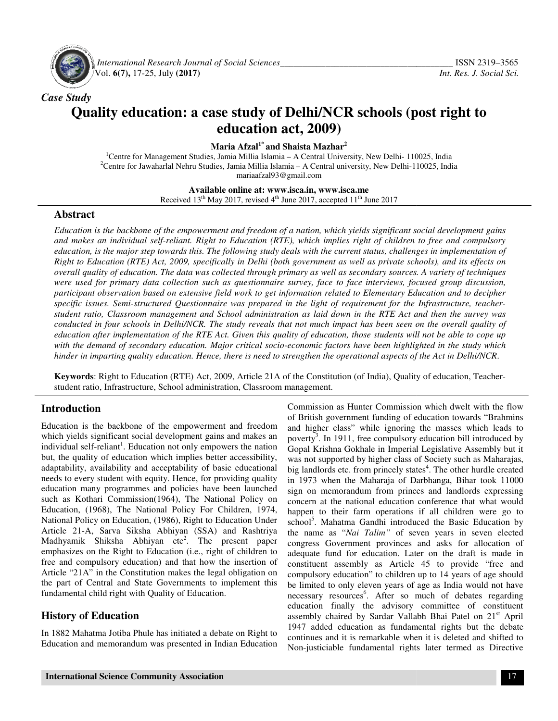

 *International Research Journal Journal of Social Sciences\_\_\_\_\_\_\_\_\_\_\_\_\_\_\_\_\_\_\_\_\_\_\_\_\_\_\_\_\_\_\_\_\_\_\_* Vol. **6(7),** 17-25, July **(2017)** 

# *Case Study*  **Quality education: a case study of Delhi/NCR schools (post right to education act, 2009)**

**Maria Afzal1\* and Shaista Mazhar<sup>2</sup>**

<sup>1</sup>Centre for Management Studies, Jamia Millia Islamia - A Central University, New Delhi- 110025, India <sup>2</sup>Centre for Jawaharlal Nehru Studies, Jamia Millia Islamia – A Central university, New Delhi-110025, India mariaafzal93@gmail.com

> **Available Available online at: www.isca.in, www.isca.me**  Received  $13<sup>th</sup>$  May 2017, revised  $4<sup>th</sup>$  June 2017, accepted  $11<sup>th</sup>$  June 2017

#### **Abstract**

*Education is the backbone of the empowerment and freedom of a nation, which yields significant social development gains and makes an individual self-reliant. Right to Education (RTE), which implies right of children to free and compulsory education, is the major step towards this. The following study deals with the current status, challenges in implementation of Right to Education (RTE) Act, 2009, specifically in Delhi (both government as well as private schools), and its effects on overall quality of education. The data was collected through primary as well as secondary sources. A variety of techniques were used for primary data collection such as questionnaire survey, face to face interviews, focused group discussion, participant observation based on extensive field work to get information related to Elementary Education and to decipher overall quality of education. The data was collected through primary as well as secondary sources. A variety of techniques*<br>were used for primary data collection such as questionnaire survey, face to face interviews, focu *student ratio, Classroom management and School admini conducted in four schools in Delhi/NCR. The study reveals that not much impact has been seen on the overall quality of*  conducted in four schools in Delhi/NCR. The study reveals that not much impact has been seen on the overall quality of<br>education after implementation of the RTE Act. Given this quality of education, those students will not with the demand of secondary education. Major critical socio-economic factors have been highlighted in the study which hinder in imparting quality education. Hence, there is need to strengthen the operational aspects of the Act in Delhi/NCR on is the backbone of the empowerment and freedom of a nation, which yields significant social development gains<br>kes an individual self-reliant. Right to Education (RTE), which implies right of children to free and compuls *stration as laid down in the RTE Act and then the survey we s* that not much impact has been seen on the overall quality quality of education, those students will not be able to cope *i* pocio-economic factors have been

Keywords: Right to Education (RTE) Act, 2009, Article 21A of the Constitution (of India), Quality of education, Teacher-<br>student ratio, Infrastructure, School administration, Classroom management. student ratio, Infrastructure, School administration, Classroom management

#### **Introduction**

Education is the backbone of the empowerment and freedom which yields significant social development gains and makes an individual self-reliant<sup>1</sup>. Education not only empowers the nation but, the quality of education which implies better accessibility, adaptability, availability and acceptability of basic educational needs to every student with equity. Hence, for providing quality education many programmes and policies have been launched such as Kothari Commission(1964), The National Policy on Education, (1968), The National Policy For Children, 1974, National Policy on Education, (1986), Right to Education Under Article 21-A, Sarva Siksha Abhiyan (SSA) and Rashtriya Madhyamik Shiksha Abhiyan etc<sup>2</sup>. The present paper emphasizes on the Right to Education (i.e., right of children to free and compulsory education) and that how the insertion of Article "21A" in the Constitution makes the legal obligation on the part of Central and State Governments to implement this fundamental child right with Quality of Education. Education is the backbone of the empowerment and freedom<br>which yields significant social development gains and makes an<br>individual self-reliant<sup>1</sup>. Education not only empowers the nation<br>but, the quality of education which

### **History of Education**

In 1882 Mahatma Jotiba Phule has initiated a debate on Right to Education and memorandum was presented in Indian Education

Commission as Hunter Commission which dwelt with the flow<br>
orcal development gains and makes an<br>
orcal deviction and higher class<sup>n</sup> while ignoring the ducation towards<br>
"Concil development gains and makes an poverty<sup>3</sup>. of British government funding of education towards "Brahmins Commission as Hunter Commission which dwelt with the flow<br>of British government funding of education towards "Brahmins<br>and higher class" while ignoring the masses which leads to poverty<sup>3</sup>. In 1911, free compulsory education bill introduced by Gopal Krishna Gokhale in Imperial Legislative Assembly but it was not supported by higher class of Society such as Maharajas, poverty<sup>3</sup>. In 1911, free compulsory education bill introduced by Gopal Krishna Gokhale in Imperial Legislative Assembly but it was not supported by higher class of Society such as Maharajas, big landlords etc. from prince in 1973 when the Maharaja of Darbhanga, Bihar took 11000 sign on memorandum from princes and landlords expressing concern at the national education conference that what would happen to their farm operations if all children were go to school<sup>5</sup>. Mahatma Gandhi introduced the Basic Education by the name as "*Nai Talim"* of seven years in seven elected congress Government provinces and asks for allocation of adequate fund for education. Later on the draft is made in constituent assembly as Article 45 to provide "free and compulsory education" to children up to 14 years of age should be limited to only eleven years of age as India would not have necessary resources<sup>6</sup>. After so much of debates regarding education finally the advisory committee of constituent assembly chaired by Sardar Vallabh Bhai Patel on 21<sup>st</sup> April 1947 added education as fundamental rights but the debate continues and it is remarkable when it is deleted and shifted to 1947 added education as fundamental rights but the debate continues and it is remarkable when it is deleted and shifted to Non-justiciable fundamental rights later termed as Directive 1973 when the Maharaja of Darbhanga, Bihar took 11000<br>n on memorandum from princes and landlords expressing<br>ncern at the national education conference that what would<br>ppen to their farm operations if all children were go t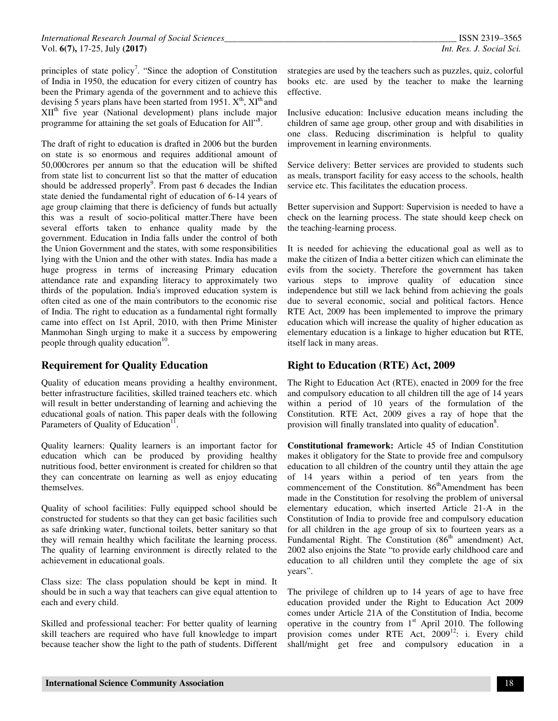principles of state policy<sup>7</sup>. "Since the adoption of Constitution of India in 1950, the education for every citizen of country has been the Primary agenda of the government and to achieve this devising 5 years plans have been started from 1951.  $X^{th}$ ,  $XI^{th}$  and  $XII<sup>th</sup>$  five year (National development) plans include major programme for attaining the set goals of Education for All"<sup>8</sup>.

The draft of right to education is drafted in 2006 but the burden on state is so enormous and requires additional amount of 50,000crores per annum so that the education will be shifted from state list to concurrent list so that the matter of education should be addressed properly<sup>9</sup>. From past 6 decades the Indian state denied the fundamental right of education of 6-14 years of age group claiming that there is deficiency of funds but actually this was a result of socio-political matter.There have been several efforts taken to enhance quality made by the government. Education in India falls under the control of both the Union Government and the states, with some responsibilities lying with the Union and the other with states. India has made a huge progress in terms of increasing Primary education attendance rate and expanding literacy to approximately two thirds of the population. India's improved education system is often cited as one of the main contributors to the economic rise of India. The right to education as a fundamental right formally came into effect on 1st April, 2010, with then Prime Minister Manmohan Singh urging to make it a success by empowering people through quality education<sup>10</sup>.

## **Requirement for Quality Education**

Quality of education means providing a healthy environment, better infrastructure facilities, skilled trained teachers etc. which will result in better understanding of learning and achieving the educational goals of nation. This paper deals with the following Parameters of Quality of Education<sup>11</sup>.

Quality learners: Quality learners is an important factor for education which can be produced by providing healthy nutritious food, better environment is created for children so that they can concentrate on learning as well as enjoy educating themselves.

Quality of school facilities: Fully equipped school should be constructed for students so that they can get basic facilities such as safe drinking water, functional toilets, better sanitary so that they will remain healthy which facilitate the learning process. The quality of learning environment is directly related to the achievement in educational goals.

Class size: The class population should be kept in mind. It should be in such a way that teachers can give equal attention to each and every child.

Skilled and professional teacher: For better quality of learning skill teachers are required who have full knowledge to impart because teacher show the light to the path of students. Different

strategies are used by the teachers such as puzzles, quiz, colorful books etc. are used by the teacher to make the learning effective.

Inclusive education: Inclusive education means including the children of same age group, other group and with disabilities in one class. Reducing discrimination is helpful to quality improvement in learning environments.

Service delivery: Better services are provided to students such as meals, transport facility for easy access to the schools, health service etc. This facilitates the education process.

Better supervision and Support: Supervision is needed to have a check on the learning process. The state should keep check on the teaching-learning process.

It is needed for achieving the educational goal as well as to make the citizen of India a better citizen which can eliminate the evils from the society. Therefore the government has taken various steps to improve quality of education since independence but still we lack behind from achieving the goals due to several economic, social and political factors. Hence RTE Act, 2009 has been implemented to improve the primary education which will increase the quality of higher education as elementary education is a linkage to higher education but RTE, itself lack in many areas.

## **Right to Education (RTE) Act, 2009**

The Right to Education Act (RTE), enacted in 2009 for the free and compulsory education to all children till the age of 14 years within a period of 10 years of the formulation of the Constitution. RTE Act, 2009 gives a ray of hope that the provision will finally translated into quality of education<sup>8</sup>.

**Constitutional framework:** Article 45 of Indian Constitution makes it obligatory for the State to provide free and compulsory education to all children of the country until they attain the age of 14 years within a period of ten years from the commencement of the Constitution. 86<sup>th</sup>Amendment has been made in the Constitution for resolving the problem of universal elementary education, which inserted Article 21-A in the Constitution of India to provide free and compulsory education for all children in the age group of six to fourteen years as a Fundamental Right. The Constitution  $(86<sup>th</sup>$  amendment) Act, 2002 also enjoins the State "to provide early childhood care and education to all children until they complete the age of six years".

The privilege of children up to 14 years of age to have free education provided under the Right to Education Act 2009 comes under Article 21A of the Constitution of India, become operative in the country from  $1<sup>st</sup>$  April 2010. The following provision comes under RTE Act, 2009<sup>12</sup>: i. Every child shall/might get free and compulsory education in a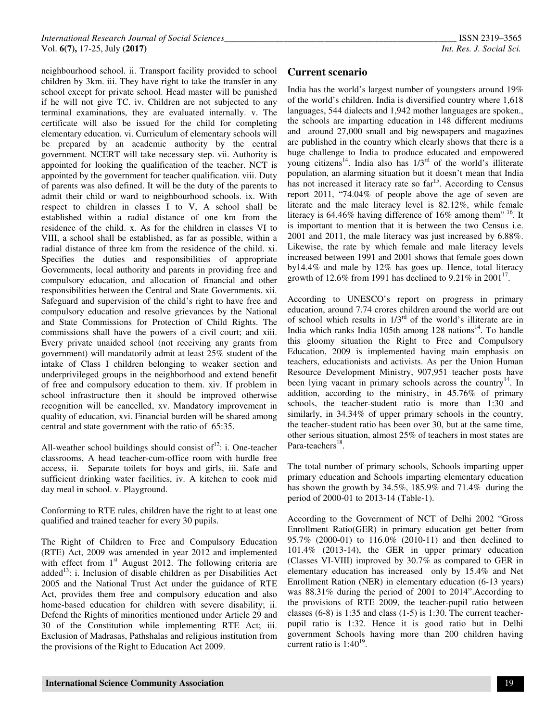neighbourhood school. ii. Transport facility provided to school children by 3km. iii. They have right to take the transfer in any school except for private school. Head master will be punished if he will not give TC. iv. Children are not subjected to any terminal examinations, they are evaluated internally. v. The certificate will also be issued for the child for completing elementary education. vi. Curriculum of elementary schools will be prepared by an academic authority by the central government. NCERT will take necessary step. vii. Authority is appointed for looking the qualification of the teacher. NCT is appointed by the government for teacher qualification. viii. Duty of parents was also defined. It will be the duty of the parents to admit their child or ward to neighbourhood schools. ix. With respect to children in classes I to V, A school shall be established within a radial distance of one km from the residence of the child. x. As for the children in classes VI to VIII, a school shall be established, as far as possible, within a radial distance of three km from the residence of the child. xi. Specifies the duties and responsibilities of appropriate Governments, local authority and parents in providing free and compulsory education, and allocation of financial and other responsibilities between the Central and State Governments. xii. Safeguard and supervision of the child's right to have free and compulsory education and resolve grievances by the National and State Commissions for Protection of Child Rights. The commissions shall have the powers of a civil court; and xiii. Every private unaided school (not receiving any grants from government) will mandatorily admit at least 25% student of the intake of Class I children belonging to weaker section and underprivileged groups in the neighborhood and extend benefit of free and compulsory education to them. xiv. If problem in school infrastructure then it should be improved otherwise recognition will be cancelled, xv. Mandatory improvement in quality of education, xvi. Financial burden will be shared among central and state government with the ratio of 65:35.

All-weather school buildings should consist of  $12$ : i. One-teacher classrooms, A head teacher-cum-office room with hurdle free access, ii. Separate toilets for boys and girls, iii. Safe and sufficient drinking water facilities, iv. A kitchen to cook mid day meal in school. v. Playground.

Conforming to RTE rules, children have the right to at least one qualified and trained teacher for every 30 pupils.

The Right of Children to Free and Compulsory Education (RTE) Act, 2009 was amended in year 2012 and implemented with effect from 1<sup>st</sup> August 2012. The following criteria are added<sup>13</sup>: i. Inclusion of disable children as per Disabilities Act 2005 and the National Trust Act under the guidance of RTE Act, provides them free and compulsory education and also home-based education for children with severe disability; ii. Defend the Rights of minorities mentioned under Article 29 and 30 of the Constitution while implementing RTE Act; iii. Exclusion of Madrasas, Pathshalas and religious institution from the provisions of the Right to Education Act 2009.

### **Current scenario**

India has the world's largest number of youngsters around 19% of the world's children. India is diversified country where 1,618 languages, 544 dialects and 1,942 mother languages are spoken., the schools are imparting education in 148 different mediums and around 27,000 small and big newspapers and magazines are published in the country which clearly shows that there is a huge challenge to India to produce educated and empowered young citizens<sup>14</sup>. India also has 1/3<sup>rd</sup> of the world's illiterate population, an alarming situation but it doesn't mean that India has not increased it literacy rate so far<sup>15</sup>. According to Census report 2011, "74.04% of people above the age of seven are literate and the male literacy level is 82.12%, while female literacy is 64.46% having difference of 16% among them<sup>"16</sup>. It is important to mention that it is between the two Census i.e. 2001 and 2011, the male literacy was just increased by 6.88%. Likewise, the rate by which female and male literacy levels increased between 1991 and 2001 shows that female goes down by14.4% and male by 12% has goes up. Hence, total literacy growth of 12.6% from 1991 has declined to 9.21% in 2001<sup>17</sup>.

According to UNESCO's report on progress in primary education, around 7.74 crores children around the world are out of school which results in 1/3rd of the world's illiterate are in India which ranks India 105th among  $128$  nations<sup>14</sup>. To handle this gloomy situation the Right to Free and Compulsory Education, 2009 is implemented having main emphasis on teachers, educationists and activists. As per the Union Human Resource Development Ministry, 907,951 teacher posts have been lying vacant in primary schools across the country<sup>14</sup>. In addition, according to the ministry, in 45.76% of primary schools, the teacher-student ratio is more than 1:30 and similarly, in 34.34% of upper primary schools in the country, the teacher-student ratio has been over 30, but at the same time, other serious situation, almost 25% of teachers in most states are Para-teachers<sup>18</sup>.

The total number of primary schools, Schools imparting upper primary education and Schools imparting elementary education has shown the growth by 34.5%, 185.9% and 71.4% during the period of 2000-01 to 2013-14 (Table-1).

According to the Government of NCT of Delhi 2002 "Gross Enrollment Ratio(GER) in primary education get better from 95.7% (2000-01) to 116.0% (2010-11) and then declined to 101.4% (2013-14), the GER in upper primary education (Classes VI-VIII) improved by 30.7% as compared to GER in elementary education has increased only by 15.4% and Net Enrollment Ration (NER) in elementary education (6-13 years) was 88.31% during the period of 2001 to 2014".According to the provisions of RTE 2009, the teacher-pupil ratio between classes (6-8) is 1:35 and class (1-5) is 1:30. The current teacherpupil ratio is 1:32. Hence it is good ratio but in Delhi government Schools having more than 200 children having current ratio is  $1:40^{19}$ .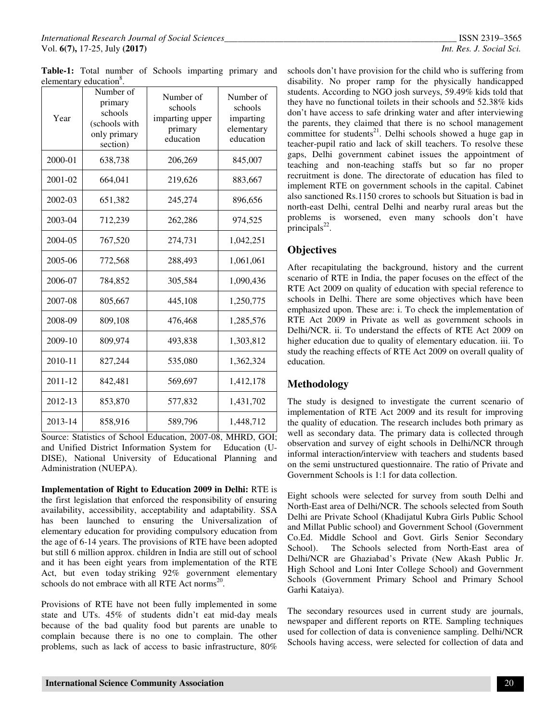**Table-1:** Total number of Schools imparting primary and elementary education<sup>8</sup>.

| Year    | Number of<br>primary<br>schools<br>(schools with<br>only primary<br>section) | Number of<br>schools<br>imparting upper<br>primary<br>education | Number of<br>schools<br>imparting<br>elementary<br>education |
|---------|------------------------------------------------------------------------------|-----------------------------------------------------------------|--------------------------------------------------------------|
| 2000-01 | 638,738                                                                      | 206,269                                                         | 845,007                                                      |
| 2001-02 | 664,041                                                                      | 219,626                                                         | 883,667                                                      |
| 2002-03 | 651,382                                                                      | 245,274                                                         | 896,656                                                      |
| 2003-04 | 712,239                                                                      | 262,286                                                         | 974,525                                                      |
| 2004-05 | 767,520                                                                      | 274,731                                                         | 1,042,251                                                    |
| 2005-06 | 772,568                                                                      | 288,493                                                         | 1,061,061                                                    |
| 2006-07 | 784,852                                                                      | 305,584                                                         | 1,090,436                                                    |
| 2007-08 | 805,667                                                                      | 445,108                                                         | 1,250,775                                                    |
| 2008-09 | 809,108                                                                      | 476,468                                                         | 1,285,576                                                    |
| 2009-10 | 809,974                                                                      | 493,838                                                         | 1,303,812                                                    |
| 2010-11 | 827,244                                                                      | 535,080                                                         | 1,362,324                                                    |
| 2011-12 | 842,481                                                                      | 569,697                                                         | 1,412,178                                                    |
| 2012-13 | 853,870                                                                      | 577,832                                                         | 1,431,702                                                    |
| 2013-14 | 858,916                                                                      | 589,796                                                         | 1,448,712                                                    |

Source: Statistics of School Education, 2007-08, MHRD, GOI; and Unified District Information System for Education (U-DISE), National University of Educational Planning and Administration (NUEPA).

**Implementation of Right to Education 2009 in Delhi:** RTE is the first legislation that enforced the responsibility of ensuring availability, accessibility, acceptability and adaptability. SSA has been launched to ensuring the Universalization of elementary education for providing compulsory education from the age of 6-14 years. The provisions of RTE have been adopted but still 6 million approx. children in India are still out of school and it has been eight years from implementation of the RTE Act, but even today striking 92% government elementary schools do not embrace with all RTE Act norms $^{20}$ .

Provisions of RTE have not been fully implemented in some state and UTs. 45% of students didn't eat mid-day meals because of the bad quality food but parents are unable to complain because there is no one to complain. The other problems, such as lack of access to basic infrastructure, 80%

schools don't have provision for the child who is suffering from disability. No proper ramp for the physically handicapped students. According to NGO josh surveys, 59.49% kids told that they have no functional toilets in their schools and 52.38% kids don't have access to safe drinking water and after interviewing the parents, they claimed that there is no school management committee for students<sup>21</sup>. Delhi schools showed a huge gap in teacher-pupil ratio and lack of skill teachers. To resolve these gaps, Delhi government cabinet issues the appointment of teaching and non-teaching staffs but so far no proper recruitment is done. The directorate of education has filed to implement RTE on government schools in the capital. Cabinet also sanctioned Rs.1150 crores to schools but Situation is bad in north-east Delhi, central Delhi and nearby rural areas but the problems is worsened, even many schools don't have  $principals<sup>22</sup>$ .

### **Objectives**

After recapitulating the background, history and the current scenario of RTE in India, the paper focuses on the effect of the RTE Act 2009 on quality of education with special reference to schools in Delhi. There are some objectives which have been emphasized upon. These are: i. To check the implementation of RTE Act 2009 in Private as well as government schools in Delhi/NCR. ii. To understand the effects of RTE Act 2009 on higher education due to quality of elementary education. iii. To study the reaching effects of RTE Act 2009 on overall quality of education.

### **Methodology**

The study is designed to investigate the current scenario of implementation of RTE Act 2009 and its result for improving the quality of education. The research includes both primary as well as secondary data. The primary data is collected through observation and survey of eight schools in Delhi/NCR through informal interaction/interview with teachers and students based on the semi unstructured questionnaire. The ratio of Private and Government Schools is 1:1 for data collection.

Eight schools were selected for survey from south Delhi and North-East area of Delhi/NCR. The schools selected from South Delhi are Private School (Khadijatul Kubra Girls Public School and Millat Public school) and Government School (Government Co.Ed. Middle School and Govt. Girls Senior Secondary School). The Schools selected from North-East area of Delhi/NCR are Ghaziabad's Private (New Akash Public Jr. High School and Loni Inter College School) and Government Schools (Government Primary School and Primary School Garhi Kataiya).

The secondary resources used in current study are journals, newspaper and different reports on RTE. Sampling techniques used for collection of data is convenience sampling. Delhi/NCR Schools having access, were selected for collection of data and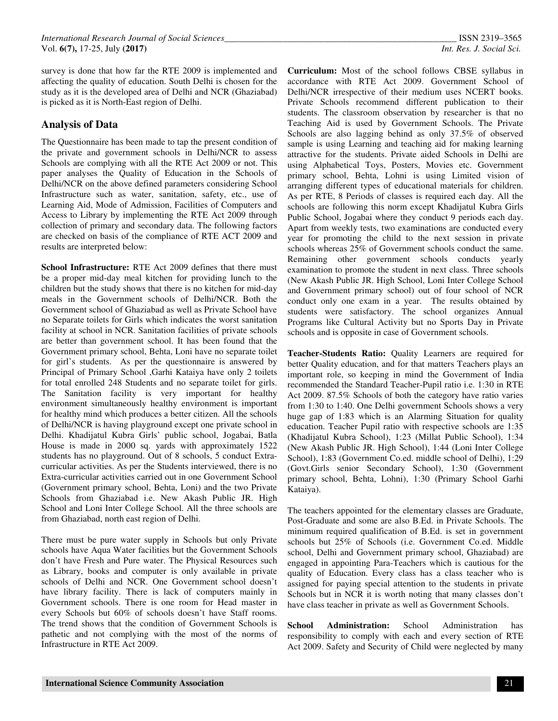survey is done that how far the RTE 2009 is implemented and affecting the quality of education. South Delhi is chosen for the study as it is the developed area of Delhi and NCR (Ghaziabad) is picked as it is North-East region of Delhi.

### **Analysis of Data**

The Questionnaire has been made to tap the present condition of the private and government schools in Delhi/NCR to assess Schools are complying with all the RTE Act 2009 or not. This paper analyses the Quality of Education in the Schools of Delhi/NCR on the above defined parameters considering School Infrastructure such as water, sanitation, safety, etc., use of Learning Aid, Mode of Admission, Facilities of Computers and Access to Library by implementing the RTE Act 2009 through collection of primary and secondary data. The following factors are checked on basis of the compliance of RTE ACT 2009 and results are interpreted below:

**School Infrastructure:** RTE Act 2009 defines that there must be a proper mid-day meal kitchen for providing lunch to the children but the study shows that there is no kitchen for mid-day meals in the Government schools of Delhi/NCR. Both the Government school of Ghaziabad as well as Private School have no Separate toilets for Girls which indicates the worst sanitation facility at school in NCR. Sanitation facilities of private schools are better than government school. It has been found that the Government primary school, Behta, Loni have no separate toilet for girl's students. As per the questionnaire is answered by Principal of Primary School ,Garhi Kataiya have only 2 toilets for total enrolled 248 Students and no separate toilet for girls. The Sanitation facility is very important for healthy environment simultaneously healthy environment is important for healthy mind which produces a better citizen. All the schools of Delhi/NCR is having playground except one private school in Delhi. Khadijatul Kubra Girls' public school, Jogabai, Batla House is made in 2000 sq. yards with approximately 1522 students has no playground. Out of 8 schools, 5 conduct Extracurricular activities. As per the Students interviewed, there is no Extra-curricular activities carried out in one Government School (Government primary school, Behta, Loni) and the two Private Schools from Ghaziabad i.e. New Akash Public JR. High School and Loni Inter College School. All the three schools are from Ghaziabad, north east region of Delhi.

There must be pure water supply in Schools but only Private schools have Aqua Water facilities but the Government Schools don't have Fresh and Pure water. The Physical Resources such as Library, books and computer is only available in private schools of Delhi and NCR. One Government school doesn't have library facility. There is lack of computers mainly in Government schools. There is one room for Head master in every Schools but 60% of schools doesn't have Staff rooms. The trend shows that the condition of Government Schools is pathetic and not complying with the most of the norms of Infrastructure in RTE Act 2009.

**Curriculum:** Most of the school follows CBSE syllabus in accordance with RTE Act 2009. Government School of Delhi/NCR irrespective of their medium uses NCERT books. Private Schools recommend different publication to their students. The classroom observation by researcher is that no Teaching Aid is used by Government Schools. The Private Schools are also lagging behind as only 37.5% of observed sample is using Learning and teaching aid for making learning attractive for the students. Private aided Schools in Delhi are using Alphabetical Toys, Posters, Movies etc. Government primary school, Behta, Lohni is using Limited vision of arranging different types of educational materials for children. As per RTE, 8 Periods of classes is required each day. All the schools are following this norm except Khadijatul Kubra Girls Public School, Jogabai where they conduct 9 periods each day. Apart from weekly tests, two examinations are conducted every year for promoting the child to the next session in private schools whereas 25% of Government schools conduct the same. Remaining other government schools conducts yearly examination to promote the student in next class. Three schools (New Akash Public JR. High School, Loni Inter College School and Government primary school) out of four school of NCR conduct only one exam in a year. The results obtained by students were satisfactory. The school organizes Annual Programs like Cultural Activity but no Sports Day in Private schools and is opposite in case of Government schools.

**Teacher-Students Ratio:** Quality Learners are required for better Quality education, and for that matters Teachers plays an important role, so keeping in mind the Government of India recommended the Standard Teacher-Pupil ratio i.e. 1:30 in RTE Act 2009. 87.5% Schools of both the category have ratio varies from 1:30 to 1:40. One Delhi government Schools shows a very huge gap of 1:83 which is an Alarming Situation for quality education. Teacher Pupil ratio with respective schools are 1:35 (Khadijatul Kubra School), 1:23 (Millat Public School), 1:34 (New Akash Public JR. High School), 1:44 (Loni Inter College School), 1:83 (Government Co.ed. middle school of Delhi), 1:29 (Govt.Girls senior Secondary School), 1:30 (Government primary school, Behta, Lohni), 1:30 (Primary School Garhi Kataiya).

The teachers appointed for the elementary classes are Graduate, Post-Graduate and some are also B.Ed. in Private Schools. The minimum required qualification of B.Ed. is set in government schools but 25% of Schools (i.e. Government Co.ed. Middle school, Delhi and Government primary school, Ghaziabad) are engaged in appointing Para-Teachers which is cautious for the quality of Education. Every class has a class teacher who is assigned for paying special attention to the students in private Schools but in NCR it is worth noting that many classes don't have class teacher in private as well as Government Schools.

**School Administration:** School Administration has responsibility to comply with each and every section of RTE Act 2009. Safety and Security of Child were neglected by many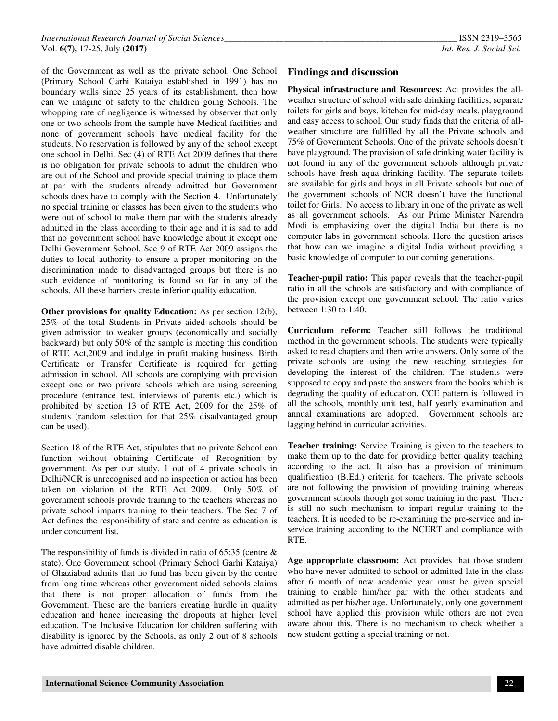of the Government as well as the private school. One School (Primary School Garhi Kataiya established in 1991) has no boundary walls since 25 years of its establishment, then how can we imagine of safety to the children going Schools. The whopping rate of negligence is witnessed by observer that only one or two schools from the sample have Medical facilities and none of government schools have medical facility for the students. No reservation is followed by any of the school except one school in Delhi. Sec (4) of RTE Act 2009 defines that there is no obligation for private schools to admit the children who are out of the School and provide special training to place them at par with the students already admitted but Government schools does have to comply with the Section 4. Unfortunately no special training or classes has been given to the students who were out of school to make them par with the students already admitted in the class according to their age and it is sad to add that no government school have knowledge about it except one Delhi Government School. Sec 9 of RTE Act 2009 assigns the duties to local authority to ensure a proper monitoring on the discrimination made to disadvantaged groups but there is no such evidence of monitoring is found so far in any of the schools. All these barriers create inferior quality education.

**Other provisions for quality Education:** As per section 12(b), 25% of the total Students in Private aided schools should be given admission to weaker groups (economically and socially backward) but only 50% of the sample is meeting this condition of RTE Act,2009 and indulge in profit making business. Birth Certificate or Transfer Certificate is required for getting admission in school. All schools are complying with provision except one or two private schools which are using screening procedure (entrance test, interviews of parents etc.) which is prohibited by section 13 of RTE Act, 2009 for the 25% of students (random selection for that 25% disadvantaged group can be used).

Section 18 of the RTE Act, stipulates that no private School can function without obtaining Certificate of Recognition by government. As per our study, 1 out of 4 private schools in Delhi/NCR is unrecognised and no inspection or action has been taken on violation of the RTE Act 2009. Only 50% of government schools provide training to the teachers whereas no private school imparts training to their teachers. The Sec 7 of Act defines the responsibility of state and centre as education is under concurrent list.

The responsibility of funds is divided in ratio of 65:35 (centre & state). One Government school (Primary School Garhi Kataiya) of Ghaziabad admits that no fund has been given by the centre from long time whereas other government aided schools claims that there is not proper allocation of funds from the Government. These are the barriers creating hurdle in quality education and hence increasing the dropouts at higher level education. The Inclusive Education for children suffering with disability is ignored by the Schools, as only 2 out of 8 schools have admitted disable children.

#### **Findings and discussion**

**Physical infrastructure and Resources:** Act provides the allweather structure of school with safe drinking facilities, separate toilets for girls and boys, kitchen for mid-day meals, playground and easy access to school. Our study finds that the criteria of allweather structure are fulfilled by all the Private schools and 75% of Government Schools. One of the private schools doesn't have playground. The provision of safe drinking water facility is not found in any of the government schools although private schools have fresh aqua drinking facility. The separate toilets are available for girls and boys in all Private schools but one of the government schools of NCR doesn't have the functional toilet for Girls. No access to library in one of the private as well as all government schools. As our Prime Minister Narendra Modi is emphasizing over the digital India but there is no computer labs in government schools. Here the question arises that how can we imagine a digital India without providing a basic knowledge of computer to our coming generations.

**Teacher-pupil ratio:** This paper reveals that the teacher-pupil ratio in all the schools are satisfactory and with compliance of the provision except one government school. The ratio varies between 1:30 to 1:40.

**Curriculum reform:** Teacher still follows the traditional method in the government schools. The students were typically asked to read chapters and then write answers. Only some of the private schools are using the new teaching strategies for developing the interest of the children. The students were supposed to copy and paste the answers from the books which is degrading the quality of education. CCE pattern is followed in all the schools, monthly unit test, half yearly examination and annual examinations are adopted. Government schools are lagging behind in curricular activities.

**Teacher training:** Service Training is given to the teachers to make them up to the date for providing better quality teaching according to the act. It also has a provision of minimum qualification (B.Ed.) criteria for teachers. The private schools are not following the provision of providing training whereas government schools though got some training in the past. There is still no such mechanism to impart regular training to the teachers. It is needed to be re-examining the pre-service and inservice training according to the NCERT and compliance with RTE.

**Age appropriate classroom:** Act provides that those student who have never admitted to school or admitted late in the class after 6 month of new academic year must be given special training to enable him/her par with the other students and admitted as per his/her age. Unfortunately, only one government school have applied this provision while others are not even aware about this. There is no mechanism to check whether a new student getting a special training or not.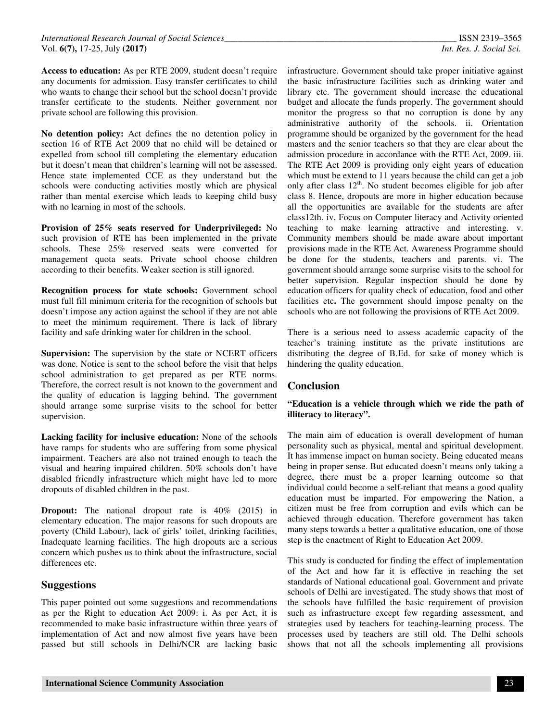**Access to education:** As per RTE 2009, student doesn't require any documents for admission. Easy transfer certificates to child who wants to change their school but the school doesn't provide transfer certificate to the students. Neither government nor private school are following this provision.

**No detention policy:** Act defines the no detention policy in section 16 of RTE Act 2009 that no child will be detained or expelled from school till completing the elementary education but it doesn't mean that children's learning will not be assessed. Hence state implemented CCE as they understand but the schools were conducting activities mostly which are physical rather than mental exercise which leads to keeping child busy with no learning in most of the schools.

**Provision of 25% seats reserved for Underprivileged:** No such provision of RTE has been implemented in the private schools. These 25% reserved seats were converted for management quota seats. Private school choose children according to their benefits. Weaker section is still ignored.

**Recognition process for state schools:** Government school must full fill minimum criteria for the recognition of schools but doesn't impose any action against the school if they are not able to meet the minimum requirement. There is lack of library facility and safe drinking water for children in the school.

**Supervision:** The supervision by the state or NCERT officers was done. Notice is sent to the school before the visit that helps school administration to get prepared as per RTE norms. Therefore, the correct result is not known to the government and the quality of education is lagging behind. The government should arrange some surprise visits to the school for better supervision.

**Lacking facility for inclusive education:** None of the schools have ramps for students who are suffering from some physical impairment. Teachers are also not trained enough to teach the visual and hearing impaired children. 50% schools don't have disabled friendly infrastructure which might have led to more dropouts of disabled children in the past.

**Dropout:** The national dropout rate is 40% (2015) in elementary education. The major reasons for such dropouts are poverty (Child Labour), lack of girls' toilet, drinking facilities, Inadequate learning facilities. The high dropouts are a serious concern which pushes us to think about the infrastructure, social differences etc.

#### **Suggestions**

This paper pointed out some suggestions and recommendations as per the Right to education Act 2009: i. As per Act, it is recommended to make basic infrastructure within three years of implementation of Act and now almost five years have been passed but still schools in Delhi/NCR are lacking basic infrastructure. Government should take proper initiative against the basic infrastructure facilities such as drinking water and library etc. The government should increase the educational budget and allocate the funds properly. The government should monitor the progress so that no corruption is done by any administrative authority of the schools. ii. Orientation programme should be organized by the government for the head masters and the senior teachers so that they are clear about the admission procedure in accordance with the RTE Act, 2009. iii. The RTE Act 2009 is providing only eight years of education which must be extend to 11 years because the child can get a job only after class  $12<sup>th</sup>$ . No student becomes eligible for job after class 8. Hence, dropouts are more in higher education because all the opportunities are available for the students are after class12th. iv. Focus on Computer literacy and Activity oriented teaching to make learning attractive and interesting. v. Community members should be made aware about important provisions made in the RTE Act. Awareness Programme should be done for the students, teachers and parents. vi. The government should arrange some surprise visits to the school for better supervision. Regular inspection should be done by education officers for quality check of education, food and other facilities etc**.** The government should impose penalty on the schools who are not following the provisions of RTE Act 2009.

There is a serious need to assess academic capacity of the teacher's training institute as the private institutions are distributing the degree of B.Ed. for sake of money which is hindering the quality education.

#### **Conclusion**

#### **"Education is a vehicle through which we ride the path of illiteracy to literacy".**

The main aim of education is overall development of human personality such as physical, mental and spiritual development. It has immense impact on human society. Being educated means being in proper sense. But educated doesn't means only taking a degree, there must be a proper learning outcome so that individual could become a self-reliant that means a good quality education must be imparted. For empowering the Nation, a citizen must be free from corruption and evils which can be achieved through education. Therefore government has taken many steps towards a better a qualitative education, one of those step is the enactment of Right to Education Act 2009.

This study is conducted for finding the effect of implementation of the Act and how far it is effective in reaching the set standards of National educational goal. Government and private schools of Delhi are investigated. The study shows that most of the schools have fulfilled the basic requirement of provision such as infrastructure except few regarding assessment, and strategies used by teachers for teaching-learning process. The processes used by teachers are still old. The Delhi schools shows that not all the schools implementing all provisions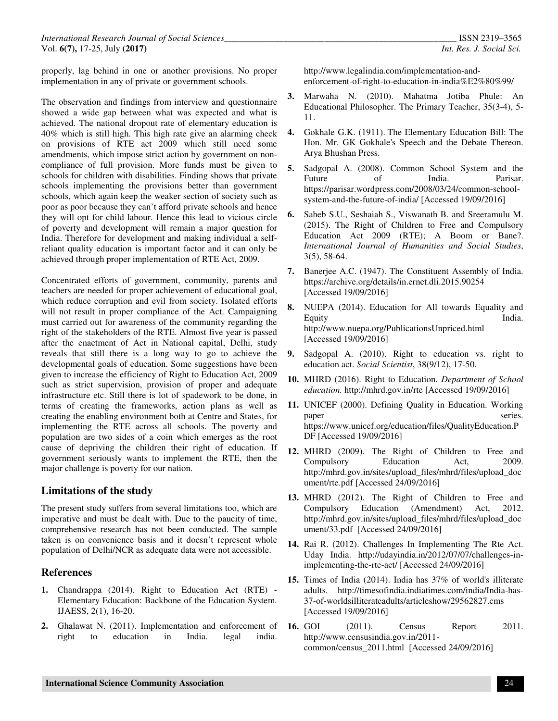properly, lag behind in one or another provisions. No proper implementation in any of private or government schools.

The observation and findings from interview and questionnaire showed a wide gap between what was expected and what is achieved. The national dropout rate of elementary education is 40% which is still high. This high rate give an alarming check on provisions of RTE act 2009 which still need some amendments, which impose strict action by government on noncompliance of full provision. More funds must be given to schools for children with disabilities. Finding shows that private schools implementing the provisions better than government schools, which again keep the weaker section of society such as poor as poor because they can't afford private schools and hence they will opt for child labour. Hence this lead to vicious circle of poverty and development will remain a major question for India. Therefore for development and making individual a selfreliant quality education is important factor and it can only be achieved through proper implementation of RTE Act, 2009.

Concentrated efforts of government, community, parents and teachers are needed for proper achievement of educational goal, which reduce corruption and evil from society. Isolated efforts will not result in proper compliance of the Act. Campaigning must carried out for awareness of the community regarding the right of the stakeholders of the RTE. Almost five year is passed after the enactment of Act in National capital, Delhi, study reveals that still there is a long way to go to achieve the developmental goals of education. Some suggestions have been given to increase the efficiency of Right to Education Act, 2009 such as strict supervision, provision of proper and adequate infrastructure etc. Still there is lot of spadework to be done, in terms of creating the frameworks, action plans as well as creating the enabling environment both at Centre and States, for implementing the RTE across all schools. The poverty and population are two sides of a coin which emerges as the root cause of depriving the children their right of education. If government seriously wants to implement the RTE, then the major challenge is poverty for our nation.

### **Limitations of the study**

The present study suffers from several limitations too, which are imperative and must be dealt with. Due to the paucity of time, comprehensive research has not been conducted. The sample taken is on convenience basis and it doesn't represent whole population of Delhi/NCR as adequate data were not accessible.

#### **References**

- **1.** Chandrappa (2014). Right to Education Act (RTE) Elementary Education: Backbone of the Education System. IJAESS, 2(1), 16-20.
- **2.** Ghalawat N. (2011). Implementation and enforcement of right to education in India. legal india.

http://www.legalindia.com/implementation-andenforcement-of-right-to-education-in-india%E2%80%99/

- **3.** Marwaha N. (2010). Mahatma Jotiba Phule: An Educational Philosopher. The Primary Teacher, 35(3-4), 5- 11.
- **4.** Gokhale G.K. (1911). The Elementary Education Bill: The Hon. Mr. GK Gokhale's Speech and the Debate Thereon. Arya Bhushan Press.
- **5.** Sadgopal A. (2008). Common School System and the Future of India. Parisar. https://parisar.wordpress.com/2008/03/24/common-schoolsystem-and-the-future-of-india/ [Accessed 19/09/2016]
- **6.** Saheb S.U., Seshaiah S., Viswanath B. and Sreeramulu M. (2015). The Right of Children to Free and Compulsory Education Act 2009 (RTE); A Boom or Bane?. *International Journal of Humanities and Social Studies*, 3(5), 58-64.
- **7.** Banerjee A.C. (1947). The Constituent Assembly of India. https://archive.org/details/in.ernet.dli.2015.90254 [Accessed 19/09/2016]
- **8.** NUEPA (2014). Education for All towards Equality and Equity **India.** http://www.nuepa.org/PublicationsUnpriced.html [Accessed 19/09/2016]
- **9.** Sadgopal A. (2010). Right to education vs. right to education act. *Social Scientist*, 38(9/12), 17-50.
- **10.** MHRD (2016). Right to Education. *Department of School education.* http://mhrd.gov.in/rte [Accessed 19/09/2016]
- **11.** UNICEF (2000). Defining Quality in Education. Working paper series. https://www.unicef.org/education/files/QualityEducation.P DF [Accessed 19/09/2016]
- **12.** MHRD (2009). The Right of Children to Free and Compulsory Education Act, 2009. http://mhrd.gov.in/sites/upload\_files/mhrd/files/upload\_doc ument/rte.pdf [Accessed 24/09/2016]
- **13.** MHRD (2012). The Right of Children to Free and Compulsory Education (Amendment) Act, 2012. http://mhrd.gov.in/sites/upload\_files/mhrd/files/upload\_doc ument/33.pdf [Accessed 24/09/2016]
- **14.** Rai R. (2012). Challenges In Implementing The Rte Act. Uday India. http://udayindia.in/2012/07/07/challenges-inimplementing-the-rte-act/ [Accessed 24/09/2016]
- **15.** Times of India (2014). India has 37% of world's illiterate adults. http://timesofindia.indiatimes.com/india/India-has-37-of-worldsilliterateadults/articleshow/29562827.cms [Accessed 19/09/2016]
- **16.** GOI (2011). Census Report 2011. http://www.censusindia.gov.in/2011 common/census\_2011.html [Accessed 24/09/2016]